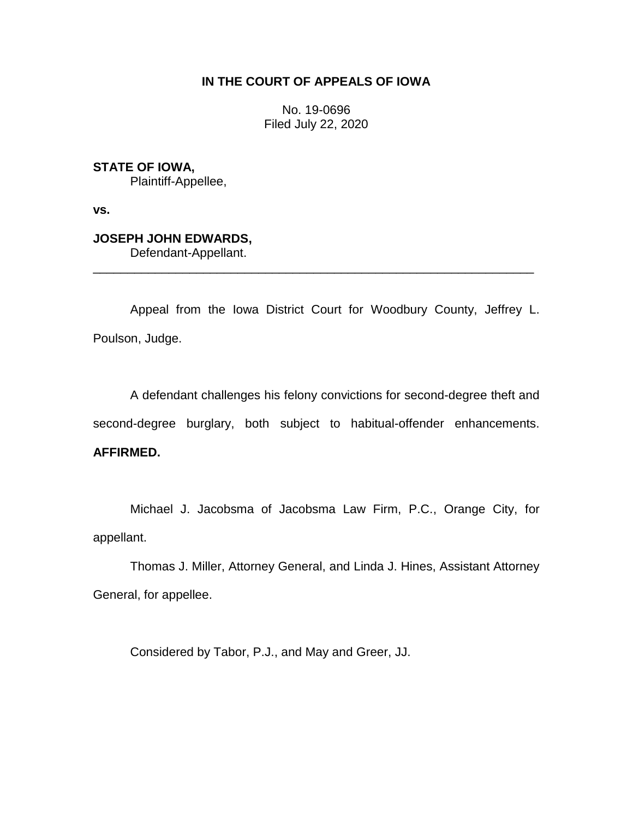## **IN THE COURT OF APPEALS OF IOWA**

No. 19-0696 Filed July 22, 2020

**STATE OF IOWA,**

Plaintiff-Appellee,

**vs.**

# **JOSEPH JOHN EDWARDS,**

Defendant-Appellant.

Appeal from the Iowa District Court for Woodbury County, Jeffrey L. Poulson, Judge.

\_\_\_\_\_\_\_\_\_\_\_\_\_\_\_\_\_\_\_\_\_\_\_\_\_\_\_\_\_\_\_\_\_\_\_\_\_\_\_\_\_\_\_\_\_\_\_\_\_\_\_\_\_\_\_\_\_\_\_\_\_\_\_\_

A defendant challenges his felony convictions for second-degree theft and second-degree burglary, both subject to habitual-offender enhancements. **AFFIRMED.**

Michael J. Jacobsma of Jacobsma Law Firm, P.C., Orange City, for appellant.

Thomas J. Miller, Attorney General, and Linda J. Hines, Assistant Attorney General, for appellee.

Considered by Tabor, P.J., and May and Greer, JJ.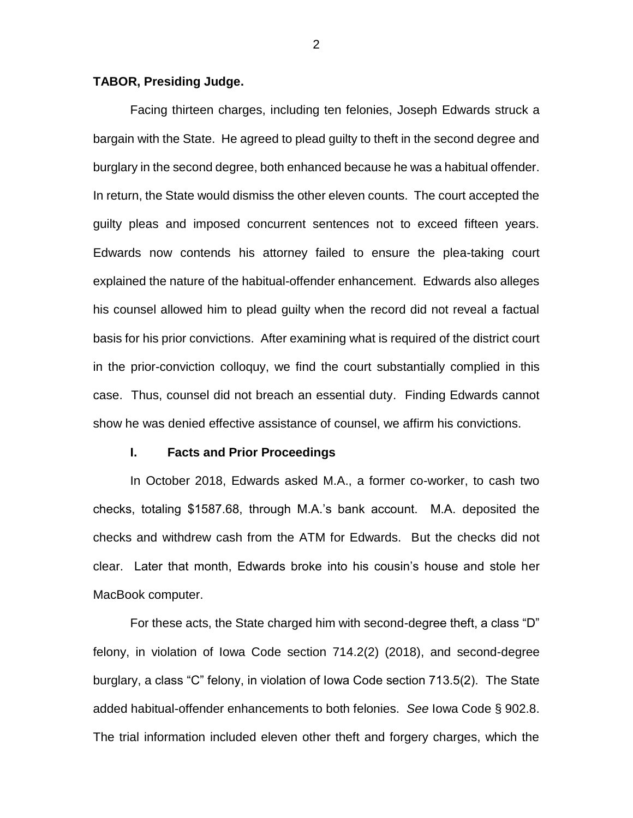## **TABOR, Presiding Judge.**

Facing thirteen charges, including ten felonies, Joseph Edwards struck a bargain with the State. He agreed to plead guilty to theft in the second degree and burglary in the second degree, both enhanced because he was a habitual offender. In return, the State would dismiss the other eleven counts. The court accepted the guilty pleas and imposed concurrent sentences not to exceed fifteen years. Edwards now contends his attorney failed to ensure the plea-taking court explained the nature of the habitual-offender enhancement. Edwards also alleges his counsel allowed him to plead guilty when the record did not reveal a factual basis for his prior convictions. After examining what is required of the district court in the prior-conviction colloquy, we find the court substantially complied in this case. Thus, counsel did not breach an essential duty. Finding Edwards cannot show he was denied effective assistance of counsel, we affirm his convictions.

#### **I. Facts and Prior Proceedings**

In October 2018, Edwards asked M.A., a former co-worker, to cash two checks, totaling \$1587.68, through M.A.'s bank account. M.A. deposited the checks and withdrew cash from the ATM for Edwards. But the checks did not clear. Later that month, Edwards broke into his cousin's house and stole her MacBook computer.

For these acts, the State charged him with second-degree theft, a class "D" felony, in violation of Iowa Code section 714.2(2) (2018), and second-degree burglary, a class "C" felony, in violation of Iowa Code section 713.5(2). The State added habitual-offender enhancements to both felonies. *See* Iowa Code § 902.8. The trial information included eleven other theft and forgery charges, which the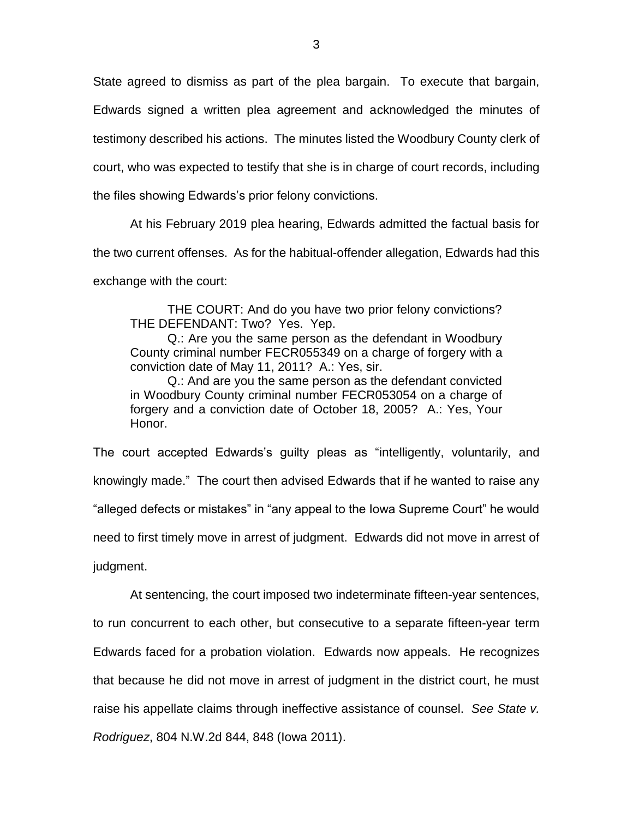State agreed to dismiss as part of the plea bargain. To execute that bargain, Edwards signed a written plea agreement and acknowledged the minutes of testimony described his actions. The minutes listed the Woodbury County clerk of court, who was expected to testify that she is in charge of court records, including the files showing Edwards's prior felony convictions.

At his February 2019 plea hearing, Edwards admitted the factual basis for the two current offenses. As for the habitual-offender allegation, Edwards had this exchange with the court:

THE COURT: And do you have two prior felony convictions? THE DEFENDANT: Two? Yes. Yep.

Q.: Are you the same person as the defendant in Woodbury County criminal number FECR055349 on a charge of forgery with a conviction date of May 11, 2011? A.: Yes, sir.

Q.: And are you the same person as the defendant convicted in Woodbury County criminal number FECR053054 on a charge of forgery and a conviction date of October 18, 2005? A.: Yes, Your Honor.

The court accepted Edwards's guilty pleas as "intelligently, voluntarily, and knowingly made." The court then advised Edwards that if he wanted to raise any "alleged defects or mistakes" in "any appeal to the Iowa Supreme Court" he would need to first timely move in arrest of judgment. Edwards did not move in arrest of judgment.

At sentencing, the court imposed two indeterminate fifteen-year sentences, to run concurrent to each other, but consecutive to a separate fifteen-year term Edwards faced for a probation violation. Edwards now appeals. He recognizes that because he did not move in arrest of judgment in the district court, he must raise his appellate claims through ineffective assistance of counsel. *See State v. Rodriguez*, 804 N.W.2d 844, 848 (Iowa 2011).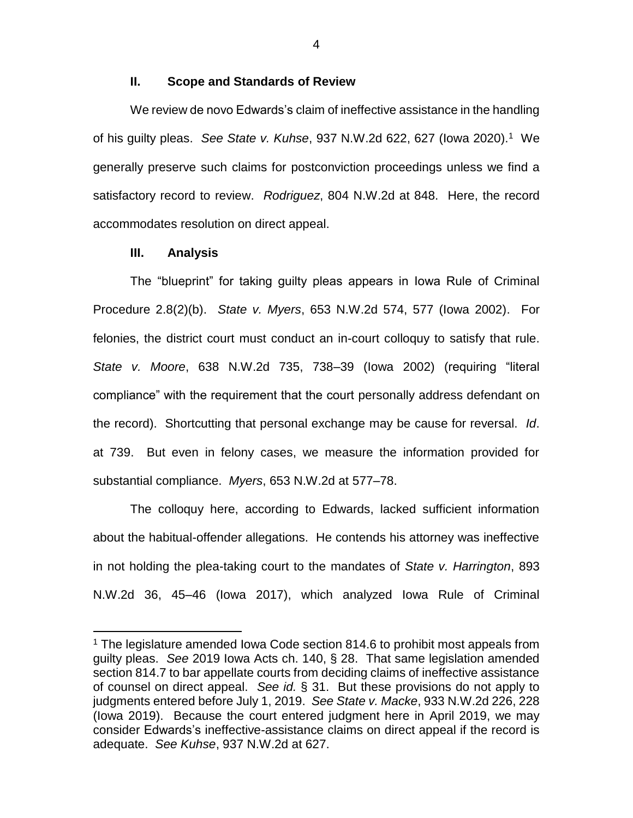## **II. Scope and Standards of Review**

We review de novo Edwards's claim of ineffective assistance in the handling of his guilty pleas. *See State v. Kuhse*, 937 N.W.2d 622, 627 (Iowa 2020).<sup>1</sup> We generally preserve such claims for postconviction proceedings unless we find a satisfactory record to review. *Rodriguez*, 804 N.W.2d at 848. Here, the record accommodates resolution on direct appeal.

## **III. Analysis**

 $\overline{a}$ 

The "blueprint" for taking guilty pleas appears in Iowa Rule of Criminal Procedure 2.8(2)(b). *State v. Myers*, 653 N.W.2d 574, 577 (Iowa 2002). For felonies, the district court must conduct an in-court colloquy to satisfy that rule. *State v. Moore*, 638 N.W.2d 735, 738–39 (Iowa 2002) (requiring "literal compliance" with the requirement that the court personally address defendant on the record). Shortcutting that personal exchange may be cause for reversal. *Id*. at 739. But even in felony cases, we measure the information provided for substantial compliance. *Myers*, 653 N.W.2d at 577–78.

The colloquy here, according to Edwards, lacked sufficient information about the habitual-offender allegations. He contends his attorney was ineffective in not holding the plea-taking court to the mandates of *State v. Harrington*, 893 N.W.2d 36, 45–46 (Iowa 2017), which analyzed Iowa Rule of Criminal

<sup>&</sup>lt;sup>1</sup> The legislature amended Iowa Code section 814.6 to prohibit most appeals from guilty pleas. *See* 2019 Iowa Acts ch. 140, § 28. That same legislation amended section 814.7 to bar appellate courts from deciding claims of ineffective assistance of counsel on direct appeal. *See id.* § 31. But these provisions do not apply to judgments entered before July 1, 2019. *See State v. Macke*, 933 N.W.2d 226, 228 (Iowa 2019). Because the court entered judgment here in April 2019, we may consider Edwards's ineffective-assistance claims on direct appeal if the record is adequate. *See Kuhse*, 937 N.W.2d at 627.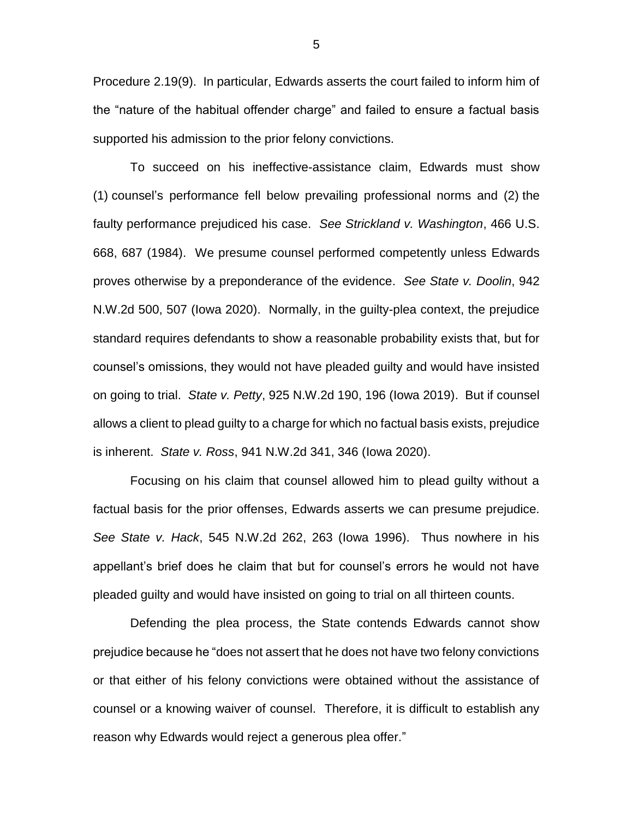Procedure 2.19(9). In particular, Edwards asserts the court failed to inform him of the "nature of the habitual offender charge" and failed to ensure a factual basis supported his admission to the prior felony convictions.

To succeed on his ineffective-assistance claim, Edwards must show (1) counsel's performance fell below prevailing professional norms and (2) the faulty performance prejudiced his case. *See Strickland v. Washington*, 466 U.S. 668, 687 (1984). We presume counsel performed competently unless Edwards proves otherwise by a preponderance of the evidence. *See State v. Doolin*, 942 N.W.2d 500, 507 (Iowa 2020). Normally, in the guilty-plea context, the prejudice standard requires defendants to show a reasonable probability exists that, but for counsel's omissions, they would not have pleaded guilty and would have insisted on going to trial. *State v. Petty*, 925 N.W.2d 190, 196 (Iowa 2019). But if counsel allows a client to plead guilty to a charge for which no factual basis exists, prejudice is inherent. *State v. Ross*, 941 N.W.2d 341, 346 (Iowa 2020).

Focusing on his claim that counsel allowed him to plead guilty without a factual basis for the prior offenses, Edwards asserts we can presume prejudice. *See State v. Hack*, 545 N.W.2d 262, 263 (Iowa 1996). Thus nowhere in his appellant's brief does he claim that but for counsel's errors he would not have pleaded guilty and would have insisted on going to trial on all thirteen counts.

Defending the plea process, the State contends Edwards cannot show prejudice because he "does not assert that he does not have two felony convictions or that either of his felony convictions were obtained without the assistance of counsel or a knowing waiver of counsel. Therefore, it is difficult to establish any reason why Edwards would reject a generous plea offer."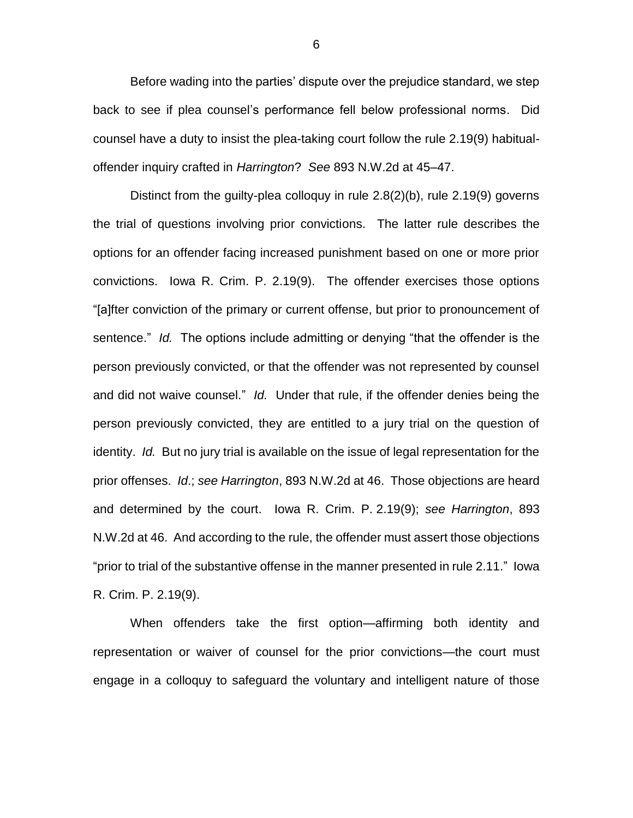Before wading into the parties' dispute over the prejudice standard, we step back to see if plea counsel's performance fell below professional norms. Did counsel have a duty to insist the plea-taking court follow the rule 2.19(9) habitualoffender inquiry crafted in *Harrington*? *See* 893 N.W.2d at 45–47.

Distinct from the guilty-plea colloquy in rule 2.8(2)(b), rule 2.19(9) governs the trial of questions involving prior convictions. The latter rule describes the options for an offender facing increased punishment based on one or more prior convictions. Iowa R. Crim. P. 2.19(9). The offender exercises those options "[a]fter conviction of the primary or current offense, but prior to pronouncement of sentence." *Id.* The options include admitting or denying "that the offender is the person previously convicted, or that the offender was not represented by counsel and did not waive counsel." *Id.* Under that rule, if the offender denies being the person previously convicted, they are entitled to a jury trial on the question of identity. *Id.* But no jury trial is available on the issue of legal representation for the prior offenses. *Id*.; *see Harrington*, 893 N.W.2d at 46. Those objections are heard and determined by the court. Iowa R. Crim. P. 2.19(9); *see Harrington*, 893 N.W.2d at 46. And according to the rule, the offender must assert those objections "prior to trial of the substantive offense in the manner presented in rule 2.11." Iowa R. Crim. P. 2.19(9).

When offenders take the first option—affirming both identity and representation or waiver of counsel for the prior convictions—the court must engage in a colloquy to safeguard the voluntary and intelligent nature of those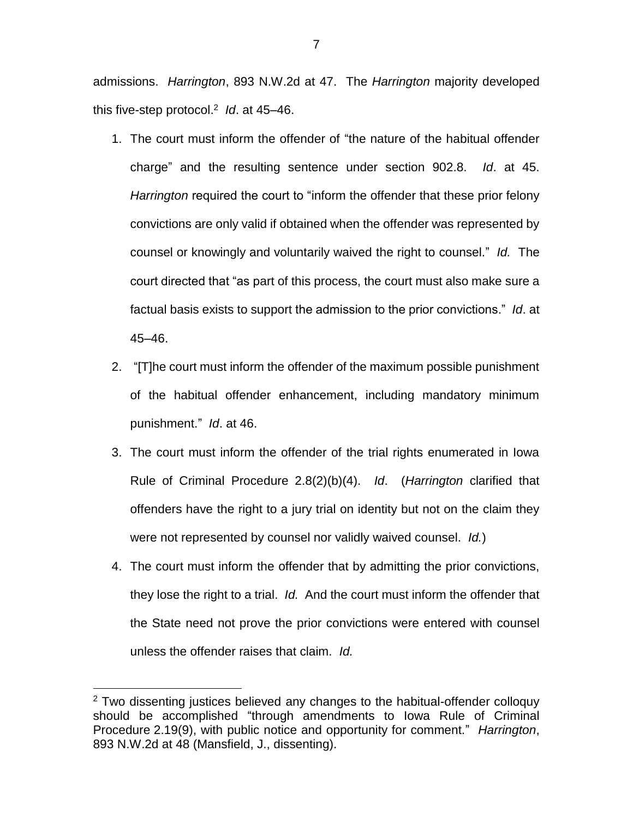admissions. *Harrington*, 893 N.W.2d at 47. The *Harrington* majority developed this five-step protocol. 2 *Id*. at 45–46.

- 1. The court must inform the offender of "the nature of the habitual offender charge" and the resulting sentence under section 902.8. *Id*. at 45. *Harrington* required the court to "inform the offender that these prior felony convictions are only valid if obtained when the offender was represented by counsel or knowingly and voluntarily waived the right to counsel." *Id.* The court directed that "as part of this process, the court must also make sure a factual basis exists to support the admission to the prior convictions." *Id*. at 45–46.
- 2. "[T]he court must inform the offender of the maximum possible punishment of the habitual offender enhancement, including mandatory minimum punishment." *Id*. at 46.
- 3. The court must inform the offender of the trial rights enumerated in Iowa Rule of Criminal Procedure 2.8(2)(b)(4). *Id*. (*Harrington* clarified that offenders have the right to a jury trial on identity but not on the claim they were not represented by counsel nor validly waived counsel. *Id.*)
- 4. The court must inform the offender that by admitting the prior convictions, they lose the right to a trial. *Id.* And the court must inform the offender that the State need not prove the prior convictions were entered with counsel unless the offender raises that claim. *Id.*

 $2$  Two dissenting justices believed any changes to the habitual-offender colloquy should be accomplished "through amendments to Iowa Rule of Criminal Procedure 2.19(9), with public notice and opportunity for comment." *Harrington*, 893 N.W.2d at 48 (Mansfield, J., dissenting).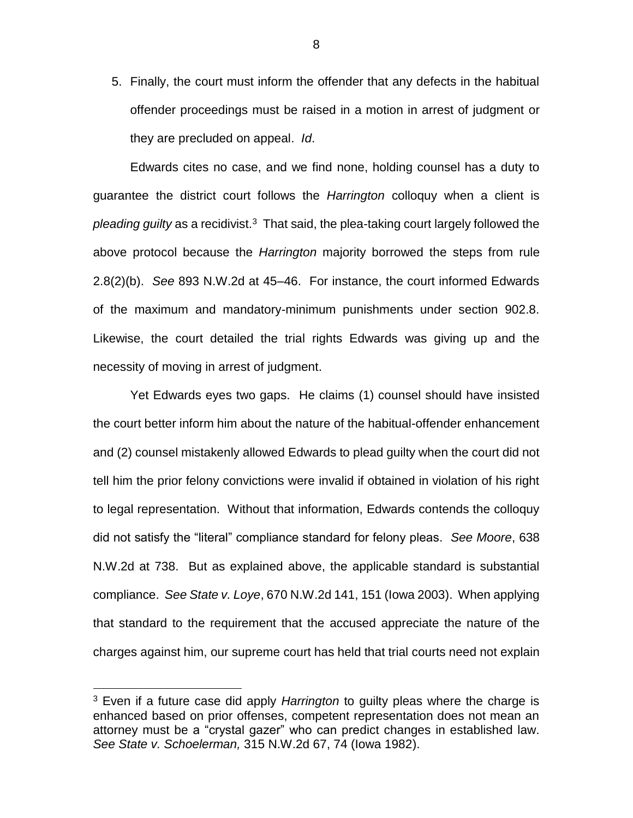5. Finally, the court must inform the offender that any defects in the habitual offender proceedings must be raised in a motion in arrest of judgment or they are precluded on appeal. *Id*.

Edwards cites no case, and we find none, holding counsel has a duty to guarantee the district court follows the *Harrington* colloquy when a client is pleading guilty as a recidivist.<sup>3</sup> That said, the plea-taking court largely followed the above protocol because the *Harrington* majority borrowed the steps from rule 2.8(2)(b). *See* 893 N.W.2d at 45–46. For instance, the court informed Edwards of the maximum and mandatory-minimum punishments under section 902.8. Likewise, the court detailed the trial rights Edwards was giving up and the necessity of moving in arrest of judgment.

Yet Edwards eyes two gaps. He claims (1) counsel should have insisted the court better inform him about the nature of the habitual-offender enhancement and (2) counsel mistakenly allowed Edwards to plead guilty when the court did not tell him the prior felony convictions were invalid if obtained in violation of his right to legal representation. Without that information, Edwards contends the colloquy did not satisfy the "literal" compliance standard for felony pleas. *See Moore*, 638 N.W.2d at 738. But as explained above, the applicable standard is substantial compliance. *See State v. Loye*, 670 N.W.2d 141, 151 (Iowa 2003). When applying that standard to the requirement that the accused appreciate the nature of the charges against him, our supreme court has held that trial courts need not explain

<sup>3</sup> Even if a future case did apply *Harrington* to guilty pleas where the charge is enhanced based on prior offenses, competent representation does not mean an attorney must be a "crystal gazer" who can predict changes in established law. *See State v. Schoelerman,* 315 N.W.2d 67, 74 (Iowa 1982).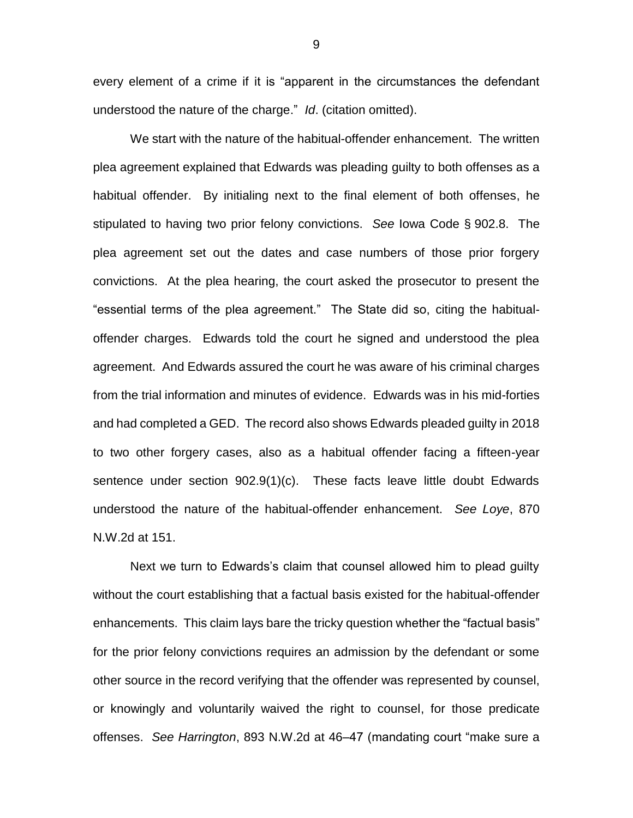every element of a crime if it is "apparent in the circumstances the defendant understood the nature of the charge." *Id*. (citation omitted).

We start with the nature of the habitual-offender enhancement. The written plea agreement explained that Edwards was pleading guilty to both offenses as a habitual offender. By initialing next to the final element of both offenses, he stipulated to having two prior felony convictions. *See* Iowa Code § 902.8. The plea agreement set out the dates and case numbers of those prior forgery convictions. At the plea hearing, the court asked the prosecutor to present the "essential terms of the plea agreement." The State did so, citing the habitualoffender charges. Edwards told the court he signed and understood the plea agreement. And Edwards assured the court he was aware of his criminal charges from the trial information and minutes of evidence. Edwards was in his mid-forties and had completed a GED. The record also shows Edwards pleaded guilty in 2018 to two other forgery cases, also as a habitual offender facing a fifteen-year sentence under section 902.9(1)(c). These facts leave little doubt Edwards understood the nature of the habitual-offender enhancement. *See Loye*, 870 N.W.2d at 151.

Next we turn to Edwards's claim that counsel allowed him to plead guilty without the court establishing that a factual basis existed for the habitual-offender enhancements. This claim lays bare the tricky question whether the "factual basis" for the prior felony convictions requires an admission by the defendant or some other source in the record verifying that the offender was represented by counsel, or knowingly and voluntarily waived the right to counsel, for those predicate offenses. *See Harrington*, 893 N.W.2d at 46–47 (mandating court "make sure a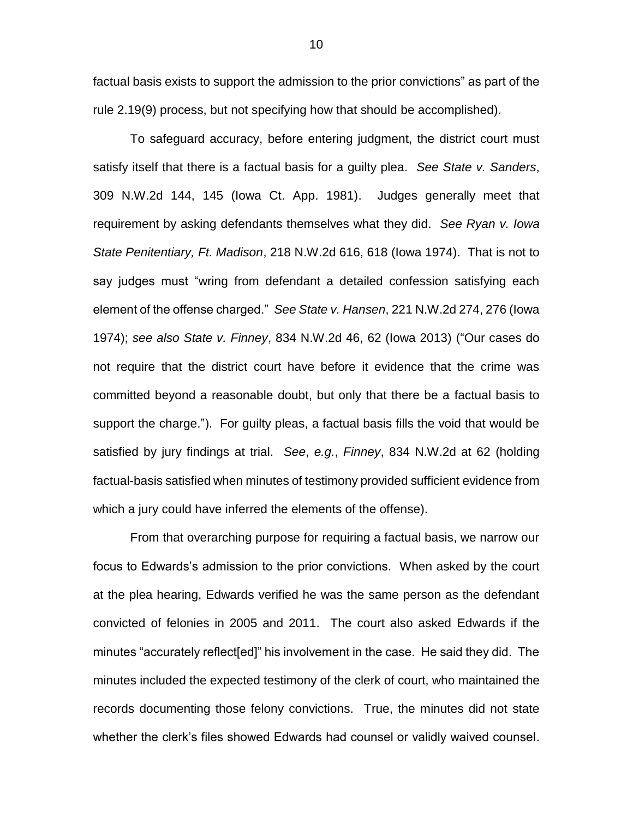factual basis exists to support the admission to the prior convictions" as part of the rule 2.19(9) process, but not specifying how that should be accomplished).

To safeguard accuracy, before entering judgment, the district court must satisfy itself that there is a factual basis for a guilty plea. *See State v. Sanders*, 309 N.W.2d 144, 145 (Iowa Ct. App. 1981). Judges generally meet that requirement by asking defendants themselves what they did. *See Ryan v. Iowa State Penitentiary, Ft. Madison*, 218 N.W.2d 616, 618 (Iowa 1974). That is not to say judges must "wring from defendant a detailed confession satisfying each element of the offense charged." *See State v. Hansen*, 221 N.W.2d 274, 276 (Iowa 1974); *see also State v. Finney*, 834 N.W.2d 46, 62 (Iowa 2013) ("Our cases do not require that the district court have before it evidence that the crime was committed beyond a reasonable doubt, but only that there be a factual basis to support the charge."). For guilty pleas, a factual basis fills the void that would be satisfied by jury findings at trial. *See*, *e.g.*, *Finney*, 834 N.W.2d at 62 (holding factual-basis satisfied when minutes of testimony provided sufficient evidence from which a jury could have inferred the elements of the offense).

From that overarching purpose for requiring a factual basis, we narrow our focus to Edwards's admission to the prior convictions. When asked by the court at the plea hearing, Edwards verified he was the same person as the defendant convicted of felonies in 2005 and 2011. The court also asked Edwards if the minutes "accurately reflect[ed]" his involvement in the case. He said they did. The minutes included the expected testimony of the clerk of court, who maintained the records documenting those felony convictions. True, the minutes did not state whether the clerk's files showed Edwards had counsel or validly waived counsel.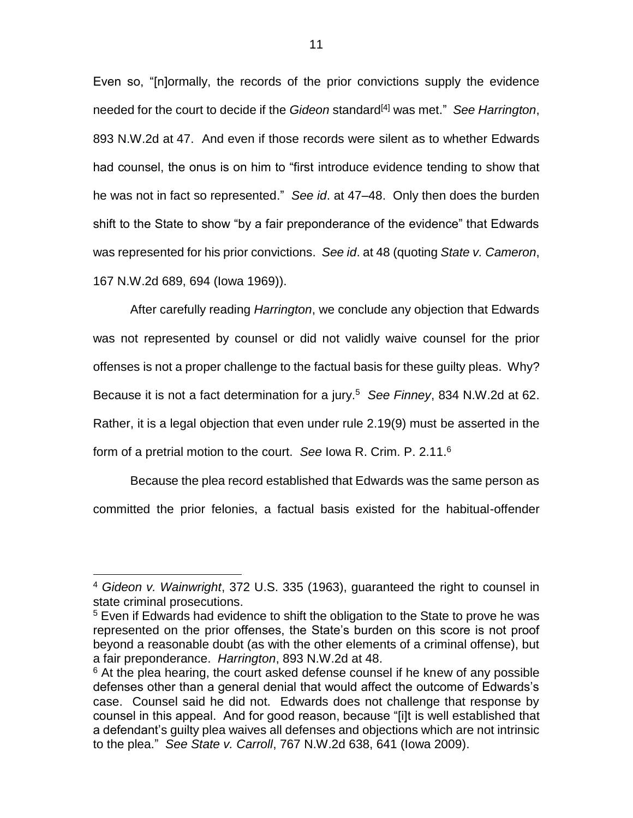Even so, "[n]ormally, the records of the prior convictions supply the evidence needed for the court to decide if the *Gideon* standard[4] was met." *See Harrington*, 893 N.W.2d at 47. And even if those records were silent as to whether Edwards had counsel, the onus is on him to "first introduce evidence tending to show that he was not in fact so represented." *See id*. at 47–48. Only then does the burden shift to the State to show "by a fair preponderance of the evidence" that Edwards was represented for his prior convictions. *See id*. at 48 (quoting *State v. Cameron*, 167 N.W.2d 689, 694 (Iowa 1969)).

After carefully reading *Harrington*, we conclude any objection that Edwards was not represented by counsel or did not validly waive counsel for the prior offenses is not a proper challenge to the factual basis for these guilty pleas. Why? Because it is not a fact determination for a jury.<sup>5</sup> *See Finney*, 834 N.W.2d at 62. Rather, it is a legal objection that even under rule 2.19(9) must be asserted in the form of a pretrial motion to the court. *See* Iowa R. Crim. P. 2.11.<sup>6</sup>

Because the plea record established that Edwards was the same person as committed the prior felonies, a factual basis existed for the habitual-offender

<sup>4</sup> *Gideon v. Wainwright*, 372 U.S. 335 (1963), guaranteed the right to counsel in state criminal prosecutions.

<sup>&</sup>lt;sup>5</sup> Even if Edwards had evidence to shift the obligation to the State to prove he was represented on the prior offenses, the State's burden on this score is not proof beyond a reasonable doubt (as with the other elements of a criminal offense), but a fair preponderance. *Harrington*, 893 N.W.2d at 48.

 $6$  At the plea hearing, the court asked defense counsel if he knew of any possible defenses other than a general denial that would affect the outcome of Edwards's case. Counsel said he did not. Edwards does not challenge that response by counsel in this appeal. And for good reason, because "[i]t is well established that a defendant's guilty plea waives all defenses and objections which are not intrinsic to the plea." *See State v. Carroll*, 767 N.W.2d 638, 641 (Iowa 2009).